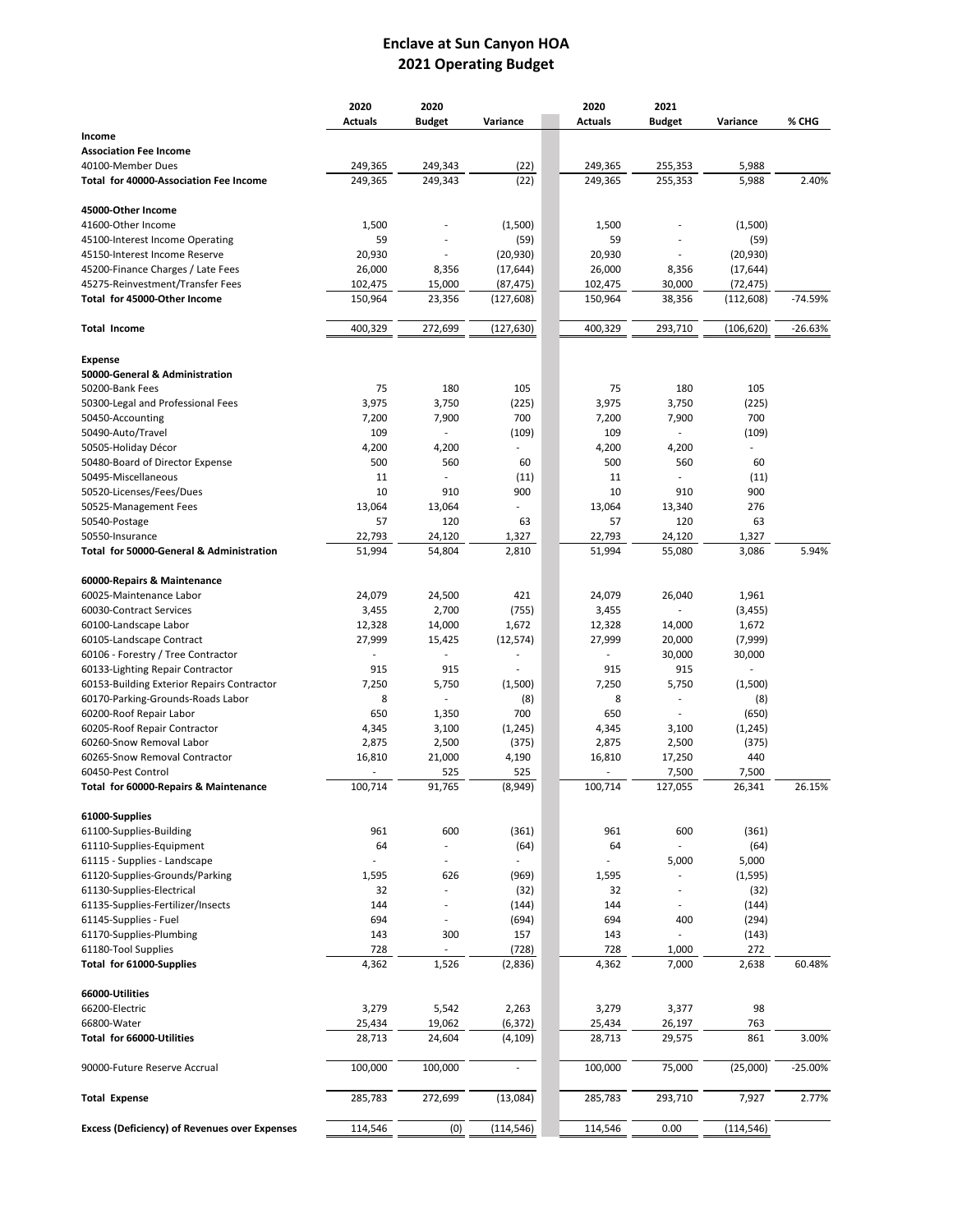## **Enclave at Sun Canyon HOA 2021 Operating Budget**

|                                                             | 2020           | 2020                     |                | 2020           | 2021                     |                 |           |
|-------------------------------------------------------------|----------------|--------------------------|----------------|----------------|--------------------------|-----------------|-----------|
|                                                             | <b>Actuals</b> | <b>Budget</b>            | Variance       | <b>Actuals</b> | <b>Budget</b>            | Variance        | % CHG     |
| Income                                                      |                |                          |                |                |                          |                 |           |
| <b>Association Fee Income</b>                               |                |                          |                |                |                          |                 |           |
| 40100-Member Dues                                           | 249,365        | 249,343                  | (22)           | 249,365        | 255,353                  | 5,988           |           |
| <b>Total for 40000-Association Fee Income</b>               | 249,365        | 249,343                  | (22)           | 249,365        | 255,353                  | 5,988           | 2.40%     |
| 45000-Other Income                                          |                |                          |                |                |                          |                 |           |
| 41600-Other Income                                          | 1,500          |                          | (1,500)        | 1,500          |                          | (1,500)         |           |
| 45100-Interest Income Operating                             | 59             |                          | (59)           | 59             |                          | (59)            |           |
| 45150-Interest Income Reserve                               | 20,930         |                          | (20, 930)      | 20,930         |                          | (20, 930)       |           |
| 45200-Finance Charges / Late Fees                           | 26,000         | 8,356                    | (17, 644)      | 26,000         | 8,356                    | (17, 644)       |           |
| 45275-Reinvestment/Transfer Fees                            | 102,475        | 15,000                   | (87, 475)      | 102,475        | 30,000                   | (72, 475)       |           |
| Total for 45000-Other Income                                | 150,964        | 23,356                   | (127, 608)     | 150,964        | 38,356                   | (112, 608)      | $-74.59%$ |
| <b>Total Income</b>                                         | 400,329        | 272,699                  | (127, 630)     | 400,329        | 293,710                  | (106, 620)      | $-26.63%$ |
| <b>Expense</b>                                              |                |                          |                |                |                          |                 |           |
| 50000-General & Administration                              |                |                          |                |                |                          |                 |           |
| 50200-Bank Fees                                             | 75             | 180                      | 105            | 75             | 180                      | 105             |           |
| 50300-Legal and Professional Fees                           | 3,975          | 3,750                    | (225)          | 3,975          | 3,750                    | (225)           |           |
| 50450-Accounting                                            | 7,200          | 7,900                    | 700            | 7,200          | 7,900                    | 700             |           |
| 50490-Auto/Travel                                           | 109            |                          | (109)          | 109            |                          | (109)           |           |
| 50505-Holiday Décor                                         | 4,200          | 4,200                    |                | 4,200          | 4,200                    |                 |           |
| 50480-Board of Director Expense                             | 500            | 560                      | 60             | 500            | 560                      | 60              |           |
| 50495-Miscellaneous                                         | 11             | ÷,                       | (11)           | 11             |                          | (11)            |           |
| 50520-Licenses/Fees/Dues                                    | 10             | 910                      | 900            | 10             | 910                      | 900             |           |
| 50525-Management Fees                                       | 13,064         | 13,064                   |                | 13,064         | 13,340                   | 276             |           |
| 50540-Postage                                               | 57             | 120                      | 63             | 57             | 120                      | 63              |           |
| 50550-Insurance                                             | 22,793         | 24,120                   | 1,327          | 22,793         | 24,120                   | 1,327           |           |
| Total for 50000-General & Administration                    | 51,994         | 54,804                   | 2,810          | 51,994         | 55,080                   | 3,086           | 5.94%     |
| 60000-Repairs & Maintenance                                 |                |                          |                |                |                          |                 |           |
|                                                             |                |                          | 421            |                |                          |                 |           |
| 60025-Maintenance Labor                                     | 24,079         | 24,500                   |                | 24,079         | 26,040                   | 1,961           |           |
| 60030-Contract Services                                     | 3,455          | 2,700                    | (755)          | 3,455          |                          | (3, 455)        |           |
| 60100-Landscape Labor                                       | 12,328         | 14,000                   | 1,672          | 12,328         | 14,000                   | 1,672           |           |
| 60105-Landscape Contract                                    | 27,999         | 15,425                   | (12, 574)      | 27,999         | 20,000                   | (7,999)         |           |
| 60106 - Forestry / Tree Contractor                          |                |                          |                |                | 30,000                   | 30,000          |           |
| 60133-Lighting Repair Contractor                            | 915            | 915                      | ÷,             | 915            | 915                      | ÷.              |           |
| 60153-Building Exterior Repairs Contractor                  | 7,250          | 5,750                    | (1,500)        | 7,250          | 5,750                    | (1,500)         |           |
| 60170-Parking-Grounds-Roads Labor                           | 8              |                          | (8)            | 8              |                          | (8)             |           |
| 60200-Roof Repair Labor                                     | 650            | 1,350                    | 700            | 650            |                          | (650)           |           |
| 60205-Roof Repair Contractor                                | 4,345          | 3,100                    | (1, 245)       | 4,345          | 3,100                    | (1, 245)        |           |
| 60260-Snow Removal Labor                                    | 2,875          | 2,500                    | (375)          | 2,875          | 2,500                    | (375)           |           |
| 60265-Snow Removal Contractor                               | 16,810         | 21,000                   | 4,190          | 16,810         | 17,250                   | 440             |           |
| 60450-Pest Control<br>Total for 60000-Repairs & Maintenance | 100,714        | 525<br>91,765            | 525<br>(8,949) | 100,714        | 7,500<br>127,055         | 7,500<br>26,341 | 26.15%    |
|                                                             |                |                          |                |                |                          |                 |           |
| 61000-Supplies<br>61100-Supplies-Building                   | 961            | 600                      |                | 961            | 600                      |                 |           |
|                                                             |                |                          | (361)          |                |                          | (361)           |           |
| 61110-Supplies-Equipment                                    | 64             | $\blacksquare$           | (64)           | 64             |                          | (64)            |           |
| 61115 - Supplies - Landscape                                |                | $\overline{\phantom{a}}$ |                |                | 5,000                    | 5,000           |           |
| 61120-Supplies-Grounds/Parking                              | 1,595          | 626                      | (969)          | 1,595          |                          | (1, 595)        |           |
| 61130-Supplies-Electrical                                   | 32             | ÷,                       | (32)           | 32             | $\overline{\phantom{a}}$ | (32)            |           |
| 61135-Supplies-Fertilizer/Insects                           | 144            | ä,                       | (144)          | 144            | ٠                        | (144)           |           |
| 61145-Supplies - Fuel                                       | 694            | $\overline{\phantom{a}}$ | (694)          | 694            | 400                      | (294)           |           |
| 61170-Supplies-Plumbing                                     | 143            | 300                      | 157            | 143            |                          | (143)           |           |
| 61180-Tool Supplies                                         | 728            |                          | (728)          | 728            | 1,000                    | 272             |           |
| Total for 61000-Supplies                                    | 4,362          | 1,526                    | (2,836)        | 4,362          | 7,000                    | 2,638           | 60.48%    |
| 66000-Utilities                                             |                |                          |                |                |                          |                 |           |
| 66200-Electric                                              | 3,279          | 5,542                    | 2,263          | 3,279          | 3,377                    | 98              |           |
| 66800-Water                                                 | 25,434         | 19,062                   | (6, 372)       | 25,434         | 26,197                   | 763             |           |
| Total for 66000-Utilities                                   | 28,713         | 24,604                   | (4, 109)       | 28,713         | 29,575                   | 861             | 3.00%     |
| 90000-Future Reserve Accrual                                | 100,000        | 100,000                  | ÷,             | 100,000        | 75,000                   | (25,000)        | $-25.00%$ |
| <b>Total Expense</b>                                        | 285,783        | 272,699                  | (13,084)       | 285,783        | 293,710                  | 7,927           | 2.77%     |
| <b>Excess (Deficiency) of Revenues over Expenses</b>        | 114,546        | (0)                      | (114,546)      | 114,546        | 0.00                     | (114, 546)      |           |
|                                                             |                |                          |                |                |                          |                 |           |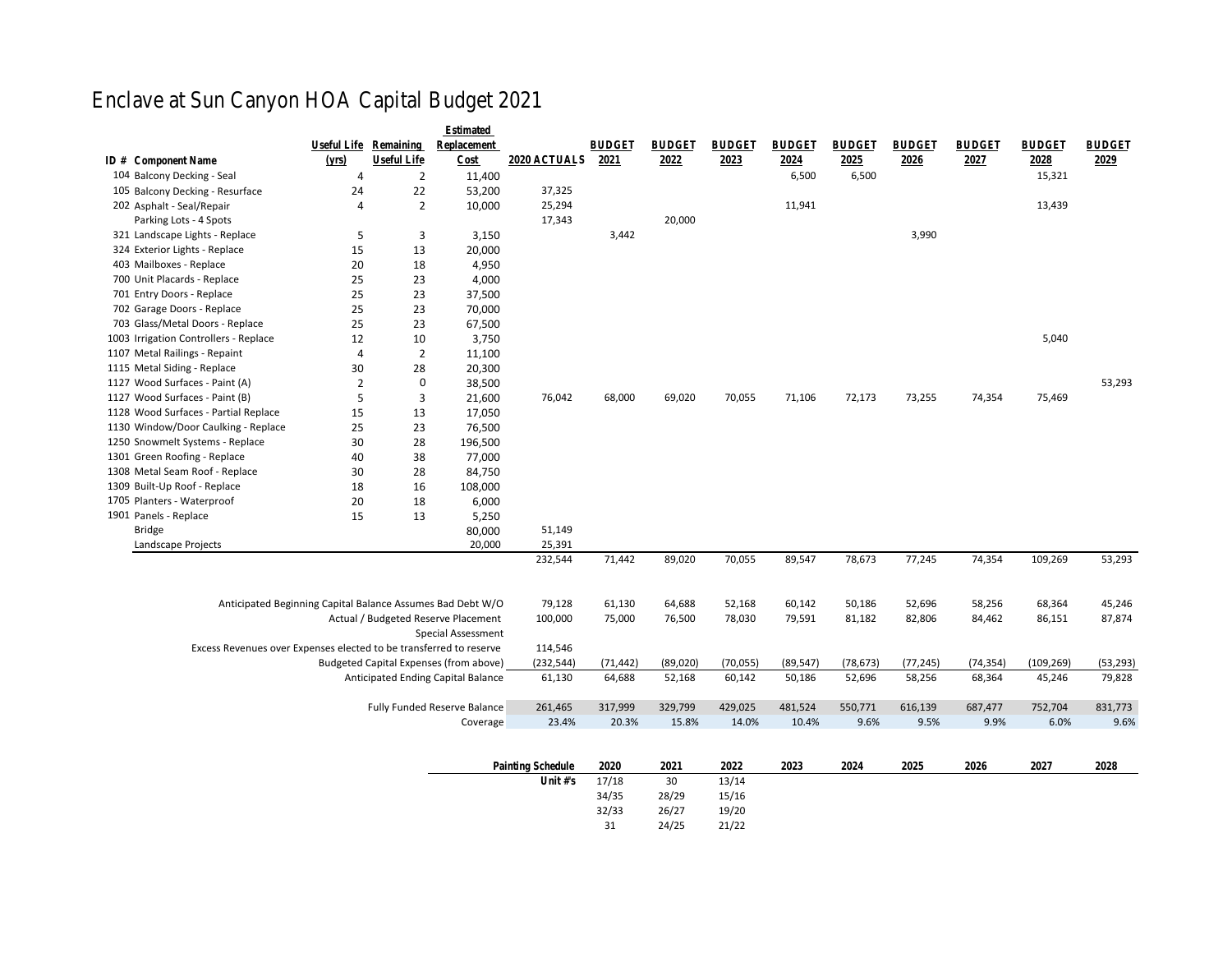## Enclave at Sun Canyon HOA Capital Budget 2021

|                                                                    |                |                | Estimat                                |                |              |              |              |              |              |              |              |              |              |
|--------------------------------------------------------------------|----------------|----------------|----------------------------------------|----------------|--------------|--------------|--------------|--------------|--------------|--------------|--------------|--------------|--------------|
|                                                                    | Useful         | Remain         | Replacem                               |                | <b>BUDGE</b> | <b>BUDGE</b> | <b>BUDGE</b> | <b>BUDGE</b> | <b>BUDGE</b> | <b>BUDGE</b> | <b>BUDGE</b> | <b>BUDGE</b> | <b>BUDGE</b> |
| ID #Component Name                                                 | (yrs)          | Useful         | Cost                                   | 2020 ACTUADE21 |              | 2022         | 2023         | 2024         | 2025         | 2026         | 2027         | 2028         | 2029         |
| 104 Balcony Decking - Seal                                         | $\overline{4}$ | $\overline{2}$ | 11.400                                 |                |              |              |              | 6,500        | 6,500        |              |              | 15,321       |              |
| 105 Balcony Decking - Resurface                                    | 24             | 22             | 53,200                                 | 37,325         |              |              |              |              |              |              |              |              |              |
| 202 Asphalt - Seal/Repair                                          | $\overline{4}$ | $\overline{2}$ | 10.000                                 | 25,294         |              |              |              | 11,941       |              |              |              | 13,439       |              |
| Parking Lots - 4 Spots                                             |                |                |                                        | 17,343         |              | 20,000       |              |              |              |              |              |              |              |
| 321 Landscape Lights - Replace                                     | 5              | 3              | 3,150                                  |                | 3,442        |              |              |              |              | 3,990        |              |              |              |
| 324 Exterior Lights - Replace                                      | 15             | 13             | 20,000                                 |                |              |              |              |              |              |              |              |              |              |
| 403 Mailboxes - Replace                                            | 20             | 18             | 4,950                                  |                |              |              |              |              |              |              |              |              |              |
| 700 Unit Placards - Replace                                        | 25             | 23             | 4,000                                  |                |              |              |              |              |              |              |              |              |              |
| 701 Entry Doors - Replace                                          | 25             | 23             | 37,500                                 |                |              |              |              |              |              |              |              |              |              |
| 702 Garage Doors - Replace                                         | 25             | 23             | 70,000                                 |                |              |              |              |              |              |              |              |              |              |
| 703 Glass/Metal Doors - Replace                                    | 25             | 23             | 67,500                                 |                |              |              |              |              |              |              |              |              |              |
| 1003 Irrigation Controllers - Replace                              | 12             | 10             | 3,750                                  |                |              |              |              |              |              |              |              | 5,040        |              |
| 1107 Metal Railings - Repaint                                      | $\overline{4}$ | $\overline{2}$ | 11,100                                 |                |              |              |              |              |              |              |              |              |              |
| 1115 Metal Siding - Replace                                        | 30             | 28             | 20,300                                 |                |              |              |              |              |              |              |              |              |              |
| 1127 Wood Surfaces - Paint (A)                                     | $\overline{2}$ | $\mathbf 0$    | 38,500                                 |                |              |              |              |              |              |              |              |              | 53,293       |
| 1127 Wood Surfaces - Paint (B)                                     | 5              | 3              | 21,600                                 | 76,042         | 68,000       | 69,020       | 70,055       | 71,106       | 72,173       | 73,255       | 74,354       | 75,469       |              |
| 1128 Wood Surfaces - Partial Replace                               | 15             | 13             | 17,050                                 |                |              |              |              |              |              |              |              |              |              |
| 1130 Window/Door Caulking - Replace                                | 25             | 23             | 76,500                                 |                |              |              |              |              |              |              |              |              |              |
| 1250 Snowmelt Systems - Replace                                    | 30             | 28             | 196,500                                |                |              |              |              |              |              |              |              |              |              |
| 1301 Green Roofing - Replace                                       | 40             | 38             | 77,000                                 |                |              |              |              |              |              |              |              |              |              |
| 1308 Metal Seam Roof - Replace                                     | 30             | 28             | 84,750                                 |                |              |              |              |              |              |              |              |              |              |
| 1309 Built-Up Roof - Replace                                       | 18             | 16             | 108,000                                |                |              |              |              |              |              |              |              |              |              |
| 1705 Planters - Waterproof                                         | 20             | 18             | 6,000                                  |                |              |              |              |              |              |              |              |              |              |
| 1901 Panels - Replace                                              | 15             | 13             | 5,250                                  |                |              |              |              |              |              |              |              |              |              |
| <b>Bridge</b>                                                      |                |                | 80,000                                 | 51,149         |              |              |              |              |              |              |              |              |              |
| Landscape Projects                                                 |                |                | 20,000                                 | 25,391         |              |              |              |              |              |              |              |              |              |
|                                                                    |                |                |                                        | 232,544        | 71,442       | 89,020       | 70,055       | 89,547       | 78,673       | 77,245       | 74,354       | 109,269      | 53,293       |
|                                                                    |                |                |                                        |                |              |              |              |              |              |              |              |              |              |
| Anticipated Beginning Capital Balance Assumes Bad Debt W/O         |                |                |                                        | 79,128         | 61,130       | 64,688       | 52,168       | 60,142       | 50,186       | 52,696       | 58,256       | 68,364       | 45,246       |
|                                                                    |                |                | Actual / Budgeted Reserve Placement    | 100,000        | 75,000       | 76,500       | 78,030       | 79,591       | 81,182       | 82,806       | 84,462       | 86,151       | 87,874       |
|                                                                    |                |                | Special Assessment                     |                |              |              |              |              |              |              |              |              |              |
| Excess Revenues over Expenses elected to be transferred to reserve |                |                |                                        | 114,546        |              |              |              |              |              |              |              |              |              |
|                                                                    |                |                | Budgeted Capital Expenses (from above) | (232, 544)     | (71, 442)    | (89,020)     | (70, 055)    | (89, 547)    | (78, 673)    | (77, 245)    | (74, 354)    | (109, 269)   | (53, 293)    |
|                                                                    |                |                | Anticipated Ending Capital Balance     | 61,130         | 64,688       | 52,168       | 60,142       | 50,186       | 52,696       | 58,256       | 68,364       | 45,246       | 79,828       |
|                                                                    |                |                |                                        |                |              |              |              |              |              |              |              |              |              |
|                                                                    |                |                | Fully Funded Reserve Balance           | 261,465        | 317,999      | 329,799      | 429,025      | 481,524      | 550,771      | 616,139      | 687,477      | 752,704      | 831,773      |
|                                                                    |                |                | Coverage                               | 23.4%          | 20.3%        | 15.8%        | 14.0%        | 10.4%        | 9.6%         | 9.5%         | 9.9%         | 6.0%         | 9.6%         |
|                                                                    |                |                |                                        |                |              |              |              |              |              |              |              |              |              |
| Painting SchectO20                                                 |                |                |                                        | 2021           | 2022         | 2023         | 2024         | 2025         | 2026         | 2027         | 2028         |              |              |
|                                                                    |                |                |                                        | Unit #'s17/18  |              | 30           | 13/14        |              |              |              |              |              |              |
|                                                                    |                |                |                                        |                | 34/35        | 28/29        | 15/16        |              |              |              |              |              |              |
|                                                                    |                |                |                                        |                | 32/33        | 26/27        | 19/20        |              |              |              |              |              |              |
|                                                                    |                |                |                                        |                | 31           | 24/25        | 21/22        |              |              |              |              |              |              |